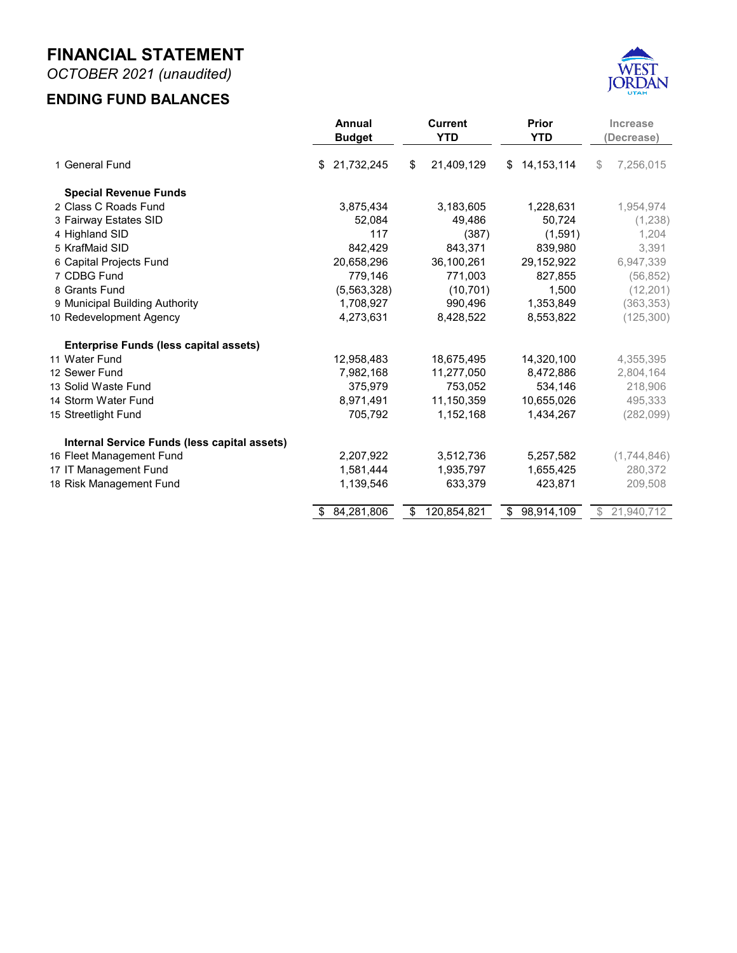**OCTOBER 2021 MONTHLY FINANCIAL REPORT FOR THE FISCAL YEAR 2022**



**Prepared by Danyce Steck, CPFO Administrative Services Director**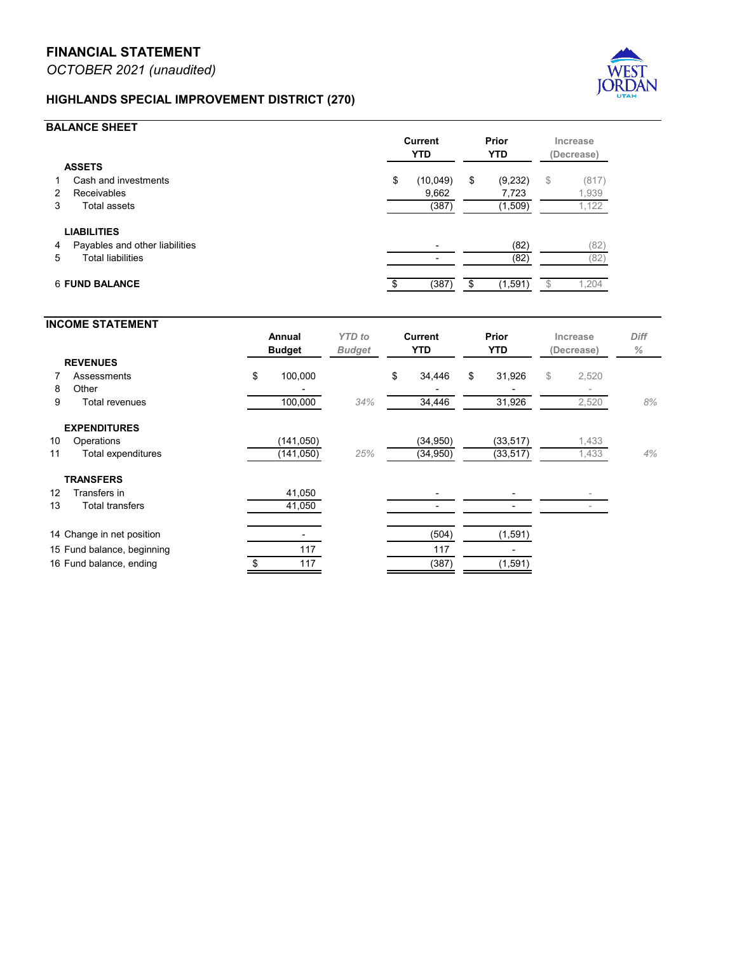## **FAIRWAY ESTATES SPECIAL DISTRICT (250)**



## **BALANCE SHEET**

|                                               | <b>Current</b><br><b>YTD</b> |        | Prior<br><b>YTD</b> |        | Increase<br>(Decrease) |                                     |
|-----------------------------------------------|------------------------------|--------|---------------------|--------|------------------------|-------------------------------------|
| <b>ASSETS</b>                                 |                              |        |                     |        |                        |                                     |
| Cash and investments<br>1<br>Receivables<br>2 | \$                           | 49,486 | \$                  | 50,744 | \$                     | (1,258)<br>$\overline{\phantom{a}}$ |
| Total assets<br>3                             |                              | 49,486 |                     | 50,744 |                        | (1, 258)                            |
| <b>LIABILITIES</b>                            |                              |        |                     |        |                        |                                     |
| Payables and other liabilities<br>4           |                              |        |                     | (20)   |                        | (20)                                |
| <b>Total liabilities</b><br>5                 |                              |        |                     | (20)   |                        | (20)                                |
| <b>6 FUND BALANCE</b>                         |                              | 49,486 | \$                  | 50,724 |                        | (1, 238)                            |

## **INCOME STATEMENT Annual** *YTD to* **Current Prior Increase** *Diff* **Budget** *Budget* **YTD YTD (Decrease)** *%* **REVENUES 7 Property tax \$ 10,834** \$ 326 \$ 302 \$ 24 8 Other 10  $(44)$ 9 Total revenues 10,844 *4%* 383 403 (20) *-5%* **EXPENDITURES** 10 Operations (12,500) (4,637) (4,192) 445 11 Total expenditures (12,500) *37%* (4,637) (4,192) 445 *11%* 12 Change in net position (1,656) (4,254) (3,789) 13 Fund balance, beginning 53,740 53,740 54,513 14 Fund balance, ending  $$52,084$   $$49,486$   $$50,724$